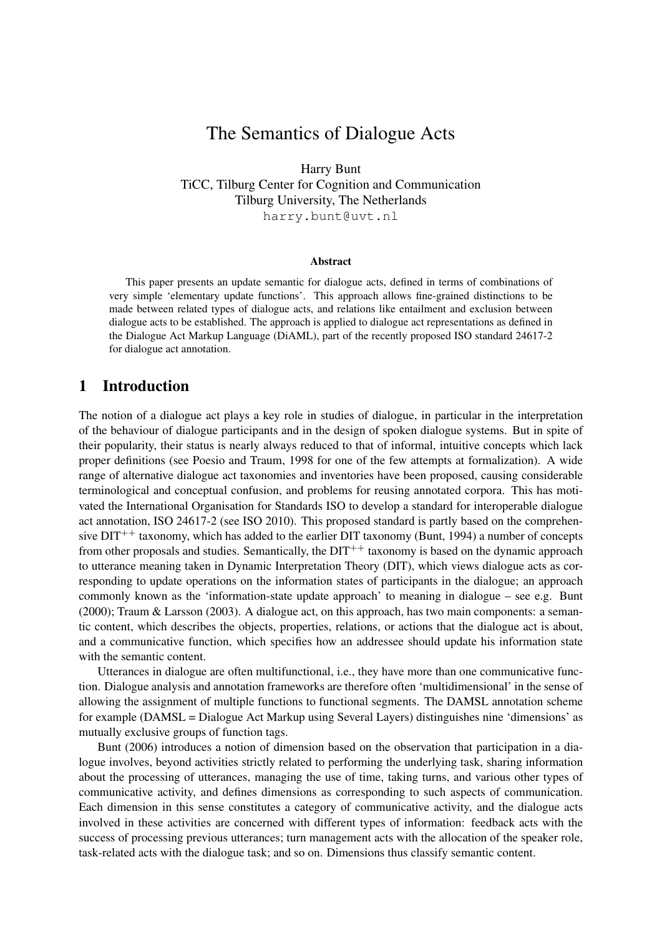# The Semantics of Dialogue Acts

Harry Bunt

TiCC, Tilburg Center for Cognition and Communication Tilburg University, The Netherlands harry.bunt@uvt.nl

#### Abstract

This paper presents an update semantic for dialogue acts, defined in terms of combinations of very simple 'elementary update functions'. This approach allows fine-grained distinctions to be made between related types of dialogue acts, and relations like entailment and exclusion between dialogue acts to be established. The approach is applied to dialogue act representations as defined in the Dialogue Act Markup Language (DiAML), part of the recently proposed ISO standard 24617-2 for dialogue act annotation.

### 1 Introduction

The notion of a dialogue act plays a key role in studies of dialogue, in particular in the interpretation of the behaviour of dialogue participants and in the design of spoken dialogue systems. But in spite of their popularity, their status is nearly always reduced to that of informal, intuitive concepts which lack proper definitions (see Poesio and Traum, 1998 for one of the few attempts at formalization). A wide range of alternative dialogue act taxonomies and inventories have been proposed, causing considerable terminological and conceptual confusion, and problems for reusing annotated corpora. This has motivated the International Organisation for Standards ISO to develop a standard for interoperable dialogue act annotation, ISO 24617-2 (see ISO 2010). This proposed standard is partly based on the comprehensive  $DT^{++}$  taxonomy, which has added to the earlier DIT taxonomy (Bunt, 1994) a number of concepts from other proposals and studies. Semantically, the  $DT^{++}$  taxonomy is based on the dynamic approach to utterance meaning taken in Dynamic Interpretation Theory (DIT), which views dialogue acts as corresponding to update operations on the information states of participants in the dialogue; an approach commonly known as the 'information-state update approach' to meaning in dialogue – see e.g. Bunt (2000); Traum & Larsson (2003). A dialogue act, on this approach, has two main components: a semantic content, which describes the objects, properties, relations, or actions that the dialogue act is about, and a communicative function, which specifies how an addressee should update his information state with the semantic content.

Utterances in dialogue are often multifunctional, i.e., they have more than one communicative function. Dialogue analysis and annotation frameworks are therefore often 'multidimensional' in the sense of allowing the assignment of multiple functions to functional segments. The DAMSL annotation scheme for example (DAMSL = Dialogue Act Markup using Several Layers) distinguishes nine 'dimensions' as mutually exclusive groups of function tags.

Bunt (2006) introduces a notion of dimension based on the observation that participation in a dialogue involves, beyond activities strictly related to performing the underlying task, sharing information about the processing of utterances, managing the use of time, taking turns, and various other types of communicative activity, and defines dimensions as corresponding to such aspects of communication. Each dimension in this sense constitutes a category of communicative activity, and the dialogue acts involved in these activities are concerned with different types of information: feedback acts with the success of processing previous utterances; turn management acts with the allocation of the speaker role, task-related acts with the dialogue task; and so on. Dimensions thus classify semantic content.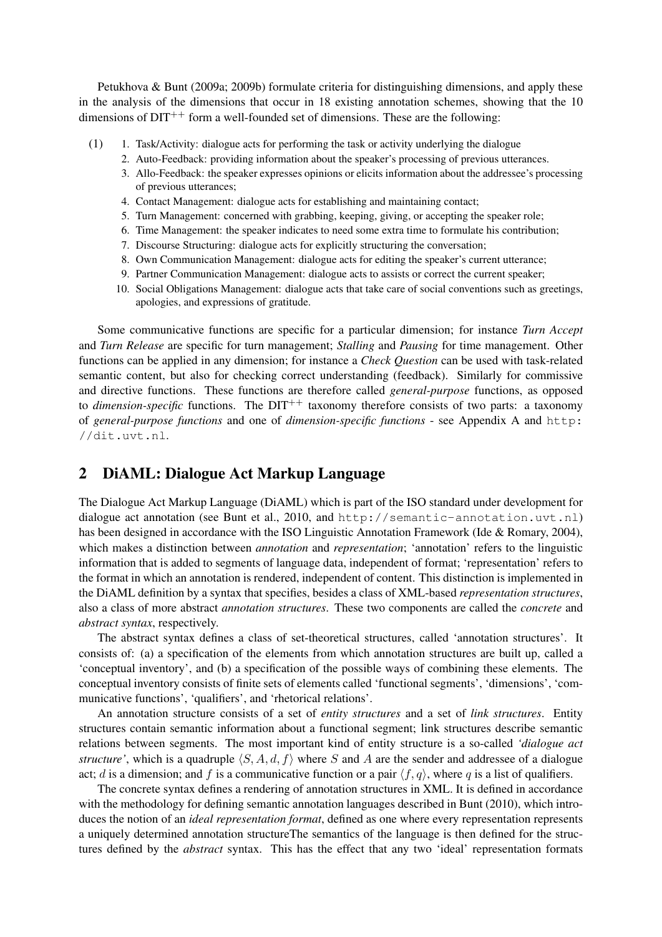Petukhova & Bunt (2009a; 2009b) formulate criteria for distinguishing dimensions, and apply these in the analysis of the dimensions that occur in 18 existing annotation schemes, showing that the 10 dimensions of  $DT^{++}$  form a well-founded set of dimensions. These are the following:

- $(1)$  1. Task/Activity: dialogue acts for performing the task or activity underlying the dialogue
	- 2. Auto-Feedback: providing information about the speaker's processing of previous utterances.
	- 3. Allo-Feedback: the speaker expresses opinions or elicits information about the addressee's processing of previous utterances;
	- 4. Contact Management: dialogue acts for establishing and maintaining contact;
	- 5. Turn Management: concerned with grabbing, keeping, giving, or accepting the speaker role;
	- 6. Time Management: the speaker indicates to need some extra time to formulate his contribution;
	- 7. Discourse Structuring: dialogue acts for explicitly structuring the conversation;
	- 8. Own Communication Management: dialogue acts for editing the speaker's current utterance;
	- 9. Partner Communication Management: dialogue acts to assists or correct the current speaker;
	- 10. Social Obligations Management: dialogue acts that take care of social conventions such as greetings, apologies, and expressions of gratitude.

Some communicative functions are specific for a particular dimension; for instance *Turn Accept* and *Turn Release* are specific for turn management; *Stalling* and *Pausing* for time management. Other functions can be applied in any dimension; for instance a *Check Question* can be used with task-related semantic content, but also for checking correct understanding (feedback). Similarly for commissive and directive functions. These functions are therefore called *general-purpose* functions, as opposed to *dimension-specific* functions. The  $DIT^{++}$  taxonomy therefore consists of two parts: a taxonomy of *general-purpose functions* and one of *dimension-specific functions* - see Appendix A and http: //dit.uvt.nl.

## 2 DiAML: Dialogue Act Markup Language

The Dialogue Act Markup Language (DiAML) which is part of the ISO standard under development for dialogue act annotation (see Bunt et al., 2010, and http://semantic-annotation.uvt.nl) has been designed in accordance with the ISO Linguistic Annotation Framework (Ide & Romary, 2004), which makes a distinction between *annotation* and *representation*; 'annotation' refers to the linguistic information that is added to segments of language data, independent of format; 'representation' refers to the format in which an annotation is rendered, independent of content. This distinction is implemented in the DiAML definition by a syntax that specifies, besides a class of XML-based *representation structures*, also a class of more abstract *annotation structures*. These two components are called the *concrete* and *abstract syntax*, respectively.

The abstract syntax defines a class of set-theoretical structures, called 'annotation structures'. It consists of: (a) a specification of the elements from which annotation structures are built up, called a 'conceptual inventory', and (b) a specification of the possible ways of combining these elements. The conceptual inventory consists of finite sets of elements called 'functional segments', 'dimensions', 'communicative functions', 'qualifiers', and 'rhetorical relations'.

An annotation structure consists of a set of *entity structures* and a set of *link structures*. Entity structures contain semantic information about a functional segment; link structures describe semantic relations between segments. The most important kind of entity structure is a so-called *'dialogue act structure'*, which is a quadruple  $\langle S, A, d, f \rangle$  where S and A are the sender and addressee of a dialogue act; d is a dimension; and f is a communicative function or a pair  $\langle f, q \rangle$ , where q is a list of qualifiers.

The concrete syntax defines a rendering of annotation structures in XML. It is defined in accordance with the methodology for defining semantic annotation languages described in Bunt (2010), which introduces the notion of an *ideal representation format*, defined as one where every representation represents a uniquely determined annotation structureThe semantics of the language is then defined for the structures defined by the *abstract* syntax. This has the effect that any two 'ideal' representation formats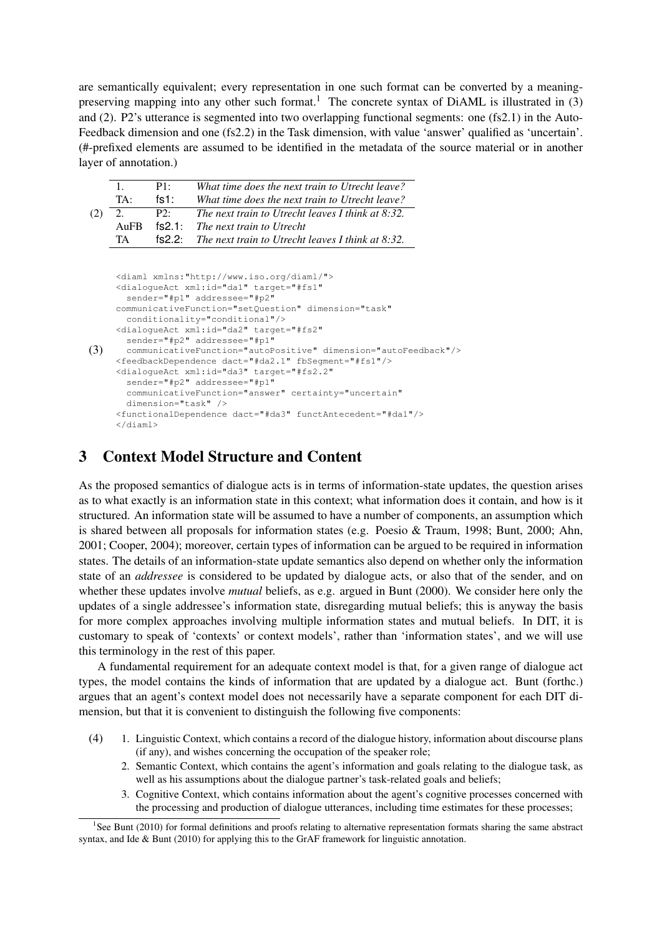are semantically equivalent; every representation in one such format can be converted by a meaningpreserving mapping into any other such format.<sup>1</sup> The concrete syntax of DiAML is illustrated in  $(3)$ and (2). P2's utterance is segmented into two overlapping functional segments: one (fs2.1) in the Auto-Feedback dimension and one (fs2.2) in the Task dimension, with value 'answer' qualified as 'uncertain'. (#-prefixed elements are assumed to be identified in the metadata of the source material or in another layer of annotation.)

|     |             | P1   | What time does the next train to Utrecht leave?                 |
|-----|-------------|------|-----------------------------------------------------------------|
|     | $TA^+$      | fs1: | What time does the next train to Utrecht leave?                 |
| (2) | 2.          | P2:  | The next train to Utrecht leaves I think at $8:32$ .            |
|     | $\rm{AuFR}$ |      | $fs2.1:$ The next train to Utrecht                              |
|     | TA.         |      | <b>fs2.2:</b> The next train to Utrecht leaves I think at 8:32. |

```
(3)
 <diaml xmlns:"http://www.iso.org/diaml/">
 <dialogueAct xml:id="da1" target="#fs1"
  sender="#p1" addressee="#p2"
 communicativeFunction="setQuestion" dimension="task"
   conditionality="conditional"/>
<dialogueAct xml:id="da2" target="#fs2"
  sender="#p2" addressee="#p1"
   communicativeFunction="autoPositive" dimension="autoFeedback"/>
 <feedbackDependence dact="#da2.1" fbSegment="#fs1"/>
 <dialogueAct xml:id="da3" target="#fs2.2"
   sender="#p2" addressee="#p1"
   communicativeFunction="answer" certainty="uncertain"
   dimension="task" />
 <functionalDependence dact="#da3" functAntecedent="#da1"/>
 </diaml>
```
## 3 Context Model Structure and Content

As the proposed semantics of dialogue acts is in terms of information-state updates, the question arises as to what exactly is an information state in this context; what information does it contain, and how is it structured. An information state will be assumed to have a number of components, an assumption which is shared between all proposals for information states (e.g. Poesio & Traum, 1998; Bunt, 2000; Ahn, 2001; Cooper, 2004); moreover, certain types of information can be argued to be required in information states. The details of an information-state update semantics also depend on whether only the information state of an *addressee* is considered to be updated by dialogue acts, or also that of the sender, and on whether these updates involve *mutual* beliefs, as e.g. argued in Bunt (2000). We consider here only the updates of a single addressee's information state, disregarding mutual beliefs; this is anyway the basis for more complex approaches involving multiple information states and mutual beliefs. In DIT, it is customary to speak of 'contexts' or context models', rather than 'information states', and we will use this terminology in the rest of this paper.

A fundamental requirement for an adequate context model is that, for a given range of dialogue act types, the model contains the kinds of information that are updated by a dialogue act. Bunt (forthc.) argues that an agent's context model does not necessarily have a separate component for each DIT dimension, but that it is convenient to distinguish the following five components:

- (4) 1. Linguistic Context, which contains a record of the dialogue history, information about discourse plans (if any), and wishes concerning the occupation of the speaker role;
	- 2. Semantic Context, which contains the agent's information and goals relating to the dialogue task, as well as his assumptions about the dialogue partner's task-related goals and beliefs;
	- 3. Cognitive Context, which contains information about the agent's cognitive processes concerned with the processing and production of dialogue utterances, including time estimates for these processes;

<sup>&</sup>lt;sup>1</sup>See Bunt (2010) for formal definitions and proofs relating to alternative representation formats sharing the same abstract syntax, and Ide & Bunt (2010) for applying this to the GrAF framework for linguistic annotation.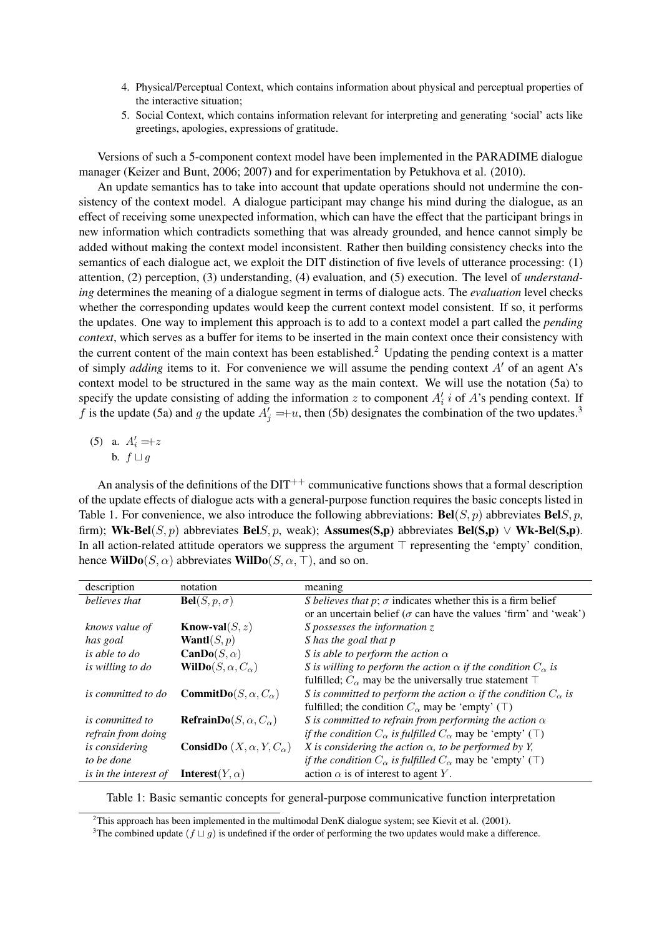- 4. Physical/Perceptual Context, which contains information about physical and perceptual properties of the interactive situation;
- 5. Social Context, which contains information relevant for interpreting and generating 'social' acts like greetings, apologies, expressions of gratitude.

Versions of such a 5-component context model have been implemented in the PARADIME dialogue manager (Keizer and Bunt, 2006; 2007) and for experimentation by Petukhova et al. (2010).

An update semantics has to take into account that update operations should not undermine the consistency of the context model. A dialogue participant may change his mind during the dialogue, as an effect of receiving some unexpected information, which can have the effect that the participant brings in new information which contradicts something that was already grounded, and hence cannot simply be added without making the context model inconsistent. Rather then building consistency checks into the semantics of each dialogue act, we exploit the DIT distinction of five levels of utterance processing: (1) attention, (2) perception, (3) understanding, (4) evaluation, and (5) execution. The level of *understanding* determines the meaning of a dialogue segment in terms of dialogue acts. The *evaluation* level checks whether the corresponding updates would keep the current context model consistent. If so, it performs the updates. One way to implement this approach is to add to a context model a part called the *pending context*, which serves as a buffer for items to be inserted in the main context once their consistency with the current content of the main context has been established.<sup>2</sup> Updating the pending context is a matter of simply *adding* items to it. For convenience we will assume the pending context  $A'$  of an agent  $A'$ s context model to be structured in the same way as the main context. We will use the notation (5a) to specify the update consisting of adding the information z to component  $A_i'$  i of A's pending context. If f is the update (5a) and g the update  $A'_j =+u$ , then (5b) designates the combination of the two updates.<sup>3</sup>

(5) a.  $A'_i = +z$ b.  $f \sqcup g$ 

An analysis of the definitions of the  $DT^{++}$  communicative functions shows that a formal description of the update effects of dialogue acts with a general-purpose function requires the basic concepts listed in Table 1. For convenience, we also introduce the following abbreviations:  $\text{Bel}(S, p)$  abbreviates  $\text{Bel}(S, p)$ , firm); Wk-Bel(S, p) abbreviates BelS, p, weak); Assumes(S,p) abbreviates Bel(S,p)  $\vee$  Wk-Bel(S,p). In all action-related attitude operators we suppress the argument  $\top$  representing the 'empty' condition, hence WilDo( $S, \alpha$ ) abbreviates WilDo( $S, \alpha$ ,  $\top$ ), and so on.

| description                  | notation                                     | meaning                                                                                  |  |
|------------------------------|----------------------------------------------|------------------------------------------------------------------------------------------|--|
| believes that                | $Bel(S, p, \sigma)$                          | S believes that p; $\sigma$ indicates whether this is a firm belief                      |  |
|                              |                                              | or an uncertain belief ( $\sigma$ can have the values 'firm' and 'weak')                 |  |
| knows value of               | <b>Know-val</b> $(S, z)$                     | S possesses the information $z$                                                          |  |
| has goal                     | <b>Wantl</b> $(S, p)$                        | S has the goal that p                                                                    |  |
| is able to do                | <b>CanDo</b> $(S, \alpha)$                   | S is able to perform the action $\alpha$                                                 |  |
| is willing to do             | WilDo $(S, \alpha, C_{\alpha})$              | S is willing to perform the action $\alpha$ if the condition $C_{\alpha}$ is             |  |
|                              |                                              | fulfilled; $C_{\alpha}$ may be the universally true statement $\top$                     |  |
| <i>is committed to do</i>    | <b>CommitDo</b> $(S, \alpha, C_{\alpha})$    | S is committed to perform the action $\alpha$ if the condition $C_{\alpha}$ is           |  |
|                              |                                              | fulfilled; the condition $C_{\alpha}$ may be 'empty' (T)                                 |  |
| <i>is committed to</i>       | <b>RefrainDo</b> $(S, \alpha, C_{\alpha})$   | S is committed to refrain from performing the action $\alpha$                            |  |
| refrain from doing           |                                              | <i>if the condition</i> $C_{\alpha}$ <i>is fulfilled</i> $C_{\alpha}$ may be 'empty' (T) |  |
| <i>is considering</i>        | <b>ConsidDo</b> $(X, \alpha, Y, C_{\alpha})$ | X is considering the action $\alpha$ , to be performed by Y,                             |  |
| to be done                   |                                              | <i>if the condition</i> $C_{\alpha}$ <i>is fulfilled</i> $C_{\alpha}$ may be 'empty' (T) |  |
| <i>is in the interest of</i> | Interest(Y, $\alpha$ )                       | action $\alpha$ is of interest to agent Y.                                               |  |

Table 1: Basic semantic concepts for general-purpose communicative function interpretation

<sup>&</sup>lt;sup>2</sup>This approach has been implemented in the multimodal DenK dialogue system; see Kievit et al. (2001).

<sup>&</sup>lt;sup>3</sup>The combined update  $(f \sqcup g)$  is undefined if the order of performing the two updates would make a difference.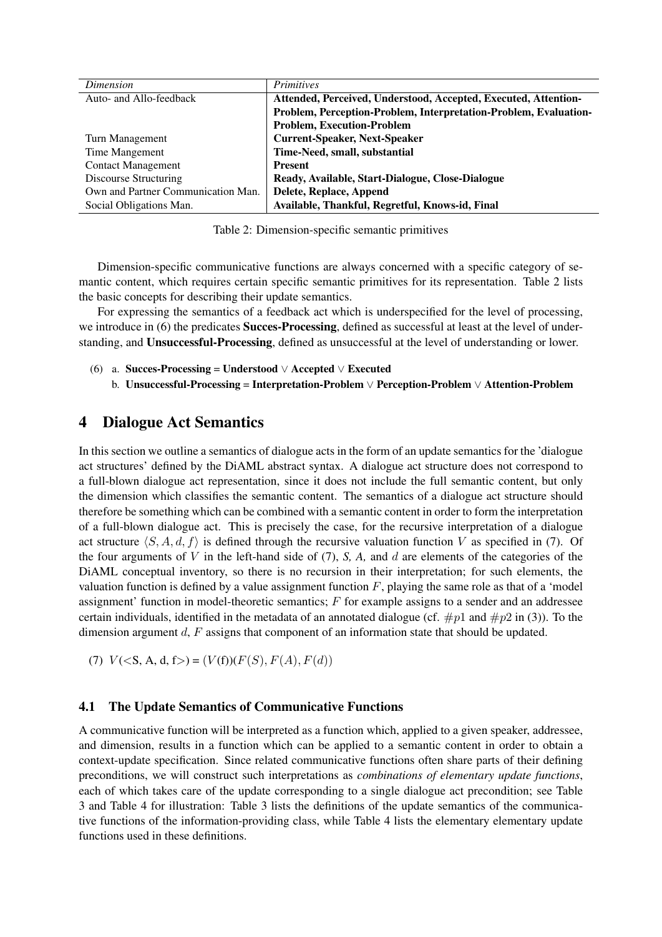| Dimension                          | <i>Primitives</i>                                                |
|------------------------------------|------------------------------------------------------------------|
| Auto- and Allo-feedback            | Attended, Perceived, Understood, Accepted, Executed, Attention-  |
|                                    | Problem, Perception-Problem, Interpretation-Problem, Evaluation- |
|                                    | <b>Problem, Execution-Problem</b>                                |
| Turn Management                    | <b>Current-Speaker, Next-Speaker</b>                             |
| Time Mangement                     | Time-Need, small, substantial                                    |
| <b>Contact Management</b>          | <b>Present</b>                                                   |
| Discourse Structuring              | Ready, Available, Start-Dialogue, Close-Dialogue                 |
| Own and Partner Communication Man. | Delete, Replace, Append                                          |
| Social Obligations Man.            | Available, Thankful, Regretful, Knows-id, Final                  |

Table 2: Dimension-specific semantic primitives

Dimension-specific communicative functions are always concerned with a specific category of semantic content, which requires certain specific semantic primitives for its representation. Table 2 lists the basic concepts for describing their update semantics.

For expressing the semantics of a feedback act which is underspecified for the level of processing, we introduce in (6) the predicates **Succes-Processing**, defined as successful at least at the level of understanding, and Unsuccessful-Processing, defined as unsuccessful at the level of understanding or lower.

- (6) a. Succes-Processing = Understood ∨ Accepted ∨ Executed
	- b. Unsuccessful-Processing = Interpretation-Problem ∨ Perception-Problem ∨ Attention-Problem

## 4 Dialogue Act Semantics

In this section we outline a semantics of dialogue acts in the form of an update semantics for the 'dialogue act structures' defined by the DiAML abstract syntax. A dialogue act structure does not correspond to a full-blown dialogue act representation, since it does not include the full semantic content, but only the dimension which classifies the semantic content. The semantics of a dialogue act structure should therefore be something which can be combined with a semantic content in order to form the interpretation of a full-blown dialogue act. This is precisely the case, for the recursive interpretation of a dialogue act structure  $\langle S, A, d, f \rangle$  is defined through the recursive valuation function V as specified in (7). Of the four arguments of V in the left-hand side of (7), *S, A,* and d are elements of the categories of the DiAML conceptual inventory, so there is no recursion in their interpretation; for such elements, the valuation function is defined by a value assignment function  $F$ , playing the same role as that of a 'model assignment' function in model-theoretic semantics; F for example assigns to a sender and an addressee certain individuals, identified in the metadata of an annotated dialogue (cf.  $\#p1$  and  $\#p2$  in (3)). To the dimension argument d, F assigns that component of an information state that should be updated.

(7)  $V(**S**, **A**, **d**, **f**) = (V(**f**))(F(**S**), F(**A**), F(**d**)))$ 

### 4.1 The Update Semantics of Communicative Functions

A communicative function will be interpreted as a function which, applied to a given speaker, addressee, and dimension, results in a function which can be applied to a semantic content in order to obtain a context-update specification. Since related communicative functions often share parts of their defining preconditions, we will construct such interpretations as *combinations of elementary update functions*, each of which takes care of the update corresponding to a single dialogue act precondition; see Table 3 and Table 4 for illustration: Table 3 lists the definitions of the update semantics of the communicative functions of the information-providing class, while Table 4 lists the elementary elementary update functions used in these definitions.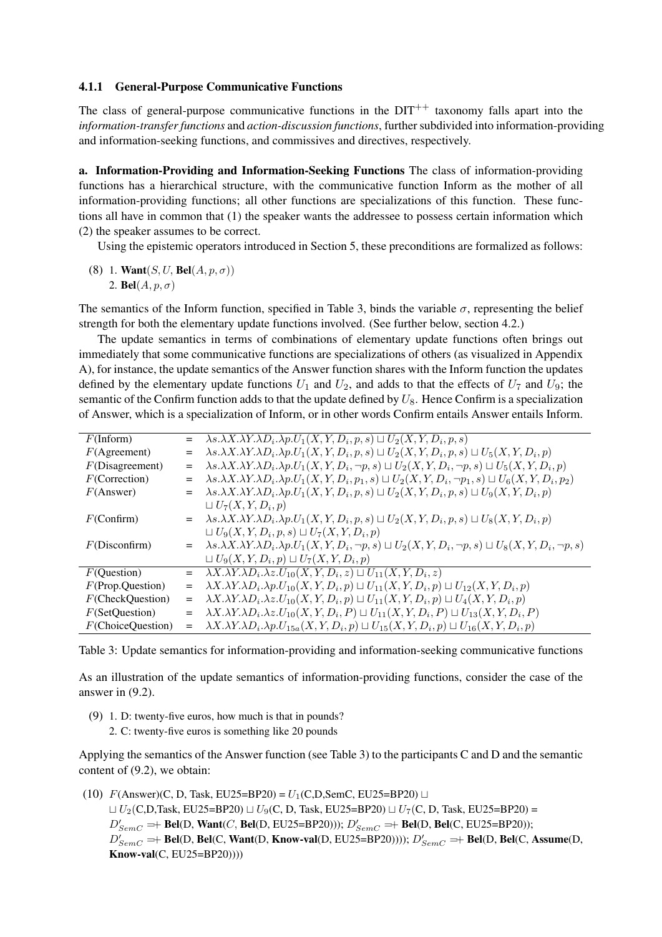#### 4.1.1 General-Purpose Communicative Functions

The class of general-purpose communicative functions in the  $DIT^{++}$  taxonomy falls apart into the *information-transfer functions* and *action-discussion functions*, further subdivided into information-providing and information-seeking functions, and commissives and directives, respectively.

a. Information-Providing and Information-Seeking Functions The class of information-providing functions has a hierarchical structure, with the communicative function Inform as the mother of all information-providing functions; all other functions are specializations of this function. These functions all have in common that (1) the speaker wants the addressee to possess certain information which (2) the speaker assumes to be correct.

Using the epistemic operators introduced in Section 5, these preconditions are formalized as follows:

(8) 1. Want $(S, U, Bel(A, p, \sigma))$ 2. **Bel** $(A, p, \sigma)$ 

The semantics of the Inform function, specified in Table 3, binds the variable  $\sigma$ , representing the belief strength for both the elementary update functions involved. (See further below, section 4.2.)

The update semantics in terms of combinations of elementary update functions often brings out immediately that some communicative functions are specializations of others (as visualized in Appendix A), for instance, the update semantics of the Answer function shares with the Inform function the updates defined by the elementary update functions  $U_1$  and  $U_2$ , and adds to that the effects of  $U_7$  and  $U_9$ ; the semantic of the Confirm function adds to that the update defined by  $U_8$ . Hence Confirm is a specialization of Answer, which is a specialization of Inform, or in other words Confirm entails Answer entails Inform.

| $F($ Inform $)$      | $=$ | $\lambda s.\lambda X.\lambda Y.\lambda D_i.\lambda p.U_1(X,Y,D_i,p,s)\sqcup U_2(X,\overline{Y,D_i,p,s})$                            |
|----------------------|-----|-------------------------------------------------------------------------------------------------------------------------------------|
| $F(A$ greement)      | $=$ | $\lambda s.\lambda X.\lambda Y.\lambda D_i.\lambda p.U_1(X,Y,D_i,p,s)\sqcup U_2(X,Y,D_i,p,s)\sqcup U_5(X,Y,D_i,p)$                  |
| F(Disagreement)      | $=$ | $\lambda s.\lambda X.\lambda Y.\lambda D_i.\lambda p.U_1(X,Y,D_i,\neg p,s)\sqcup U_2(X,Y,D_i,\neg p,s)\sqcup U_5(X,Y,D_i,p)$        |
| F(Correction)        | $=$ | $\lambda s.\lambda X.\lambda Y.\lambda D_i.\lambda p.U_1(X,Y,D_i,p_1,s)\sqcup U_2(X,Y,D_i,\neg p_1,s)\sqcup U_6(X,Y,D_i,p_2)$       |
| $F($ Answer $)$      | $=$ | $\lambda s.\lambda X.\lambda Y.\lambda D_i.\lambda p.U_1(X,Y,D_i,p,s)\sqcup U_2(X,Y,D_i,p,s)\sqcup U_9(X,Y,D_i,p)$                  |
|                      |     | $\sqcup U_7(X,Y,D_i,p)$                                                                                                             |
| F(Confirm)           | $=$ | $\lambda s.\lambda X.\lambda Y.\lambda D_i.\lambda p.U_1(X,Y,D_i,p,s)\sqcup U_2(X,Y,D_i,p,s)\sqcup U_8(X,Y,D_i,p)$                  |
|                      |     | $\sqcup U_9(X, Y, D_i, p, s) \sqcup U_7(X, Y, D_i, p)$                                                                              |
| F(Disconfirm)        | $=$ | $\lambda s.\lambda X.\lambda Y.\lambda D_i.\lambda p.U_1(X,Y,D_i,\neg p,s)\sqcup U_2(X,Y,D_i,\neg p,s)\sqcup U_8(X,Y,D_i,\neg p,s)$ |
|                      |     | $\sqcup U_9(X, Y, D_i, p) \sqcup U_7(X, Y, D_i, p)$                                                                                 |
| $F$ (Question)       | $=$ | $\lambda X.\lambda Y.\lambda D_i.\lambda z.U_{10}(X,Y,D_i,z)\sqcup U_{11}(X,Y,D_i,z)$                                               |
| $F$ (Prop.Question)  | $=$ | $\lambda X.\lambda Y.\lambda D_i.\lambda p.U_{10}(X,Y,D_i,p)\sqcup U_{11}(X,Y,D_i,p)\sqcup U_{12}(X,Y,D_i,p)$                       |
| $F$ (CheckQuestion)  | $=$ | $\lambda X.\lambda Y.\lambda D_i.\lambda z.U_{10}(X,Y,D_i,p)\sqcup U_{11}(X,Y,D_i,p)\sqcup U_4(X,Y,D_i,p)$                          |
| $F$ (SetQuestion)    | $=$ | $\lambda X.\lambda Y.\lambda D_i.\lambda z.U_{10}(X,Y,D_i,P)\sqcup U_{11}(X,Y,D_i,P)\sqcup U_{13}(X,Y,D_i,P)$                       |
| $F$ (ChoiceQuestion) | $=$ | $\lambda X.\lambda Y.\lambda D_i.\lambda p.U_{15a}(X,Y,D_i,p)\sqcup U_{15}(X,Y,D_i,p)\sqcup U_{16}(X,Y,D_i,p)$                      |

Table 3: Update semantics for information-providing and information-seeking communicative functions

As an illustration of the update semantics of information-providing functions, consider the case of the answer in (9.2).

(9) 1. D: twenty-five euros, how much is that in pounds? 2. C: twenty-five euros is something like 20 pounds

Applying the semantics of the Answer function (see Table 3) to the participants C and D and the semantic content of (9.2), we obtain:

(10)  $F(\text{Answer})(C, D, Task, EU25=BP20) = U_1(C, D, SemC, EU25=BP20) \sqcup$  $U_2(C,D,Task, EU25=BP20) \sqcup U_9(C, D, Task, EU25=BP20) \sqcup U_7(C, D, Task, EU25=BP20) =$  $D'_{SemC} \rightleftharpoons \text{Bel}(D, \text{Want}(C, \text{Bel}(D, EU25=B P20)))$ ;  $D'_{SemC} \rightleftharpoons \text{Bel}(D, \text{Bel}(C, EU25=B P20))$ ;  $D'_{SemC}$  =+ Bel(D, Bel(C, Want(D, Know-val(D, EU25=BP20))));  $D'_{SemC}$  =+ Bel(D, Bel(C, Assume(D, Know-val(C, EU25=BP20))))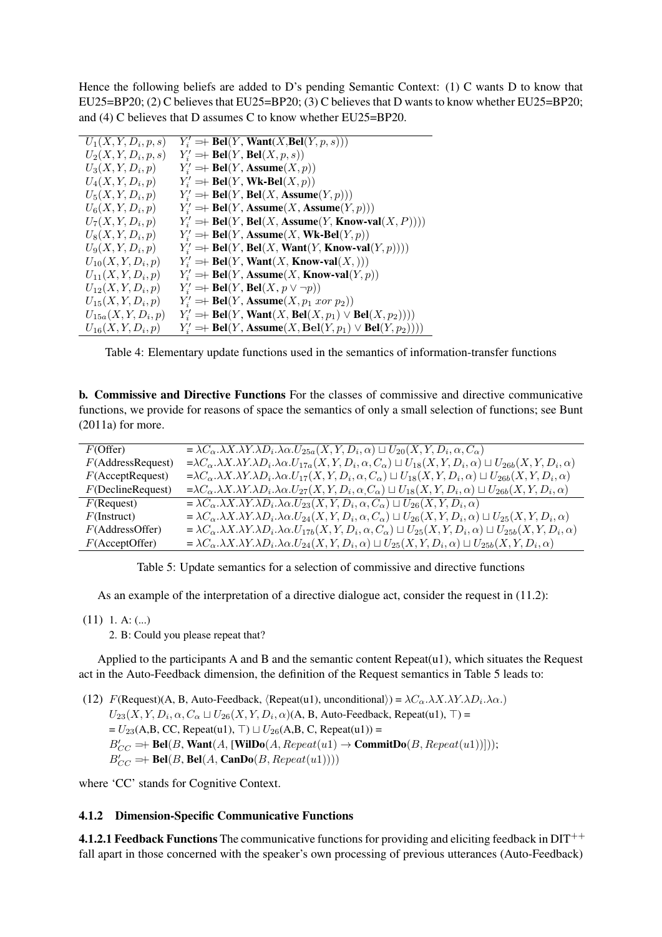Hence the following beliefs are added to D's pending Semantic Context: (1) C wants D to know that EU25=BP20; (2) C believes that EU25=BP20; (3) C believes that D wants to know whether EU25=BP20; and (4) C believes that D assumes C to know whether EU25=BP20.

| $U_1(X, Y, D_i, p, s)$  | $Y_i' \to \text{Bel}(Y, \text{Want}(X, \text{Bel}(Y, p, s)))$                           |
|-------------------------|-----------------------------------------------------------------------------------------|
| $U_2(X, Y, D_i, p, s)$  | $Y'_i \to \text{Bel}(Y, \text{Bel}(X, p, s))$                                           |
| $U_3(X, Y, D_i, p)$     | $Y_i' \to \text{Bel}(Y, \text{Assume}(X, p))$                                           |
| $U_4(X,Y,D_i,p)$        | $Y_i' \to \text{Bel}(Y, \text{Wk-Bel}(X, p))$                                           |
| $U_5(X, Y, D_i, p)$     | $Y'_i$ = + Bel(Y, Bel(X, Assume(Y, p)))                                                 |
| $U_6(X, Y, D_i, p)$     | $Y_i' \rightleftharpoons \text{Bel}(Y, \text{Assume}(X, \text{Assume}(Y, p)))$          |
| $U_7(X, Y, D_i, p)$     | $Y_i' \to \text{Bel}(Y, \text{Bel}(X, \text{Assume}(Y, \text{Know-val}(X, P))))$        |
| $U_8(X, Y, D_i, p)$     | $Y_i' \to \text{Bel}(Y, \text{Assume}(X, \text{Wk-Bel}(Y, p)))$                         |
| $U_9(X, Y, D_i, p)$     | $Y_i' \to \text{Bel}(Y, \text{Bel}(X, \text{Want}(Y, \text{Know-val}(Y, p))))$          |
| $U_{10}(X, Y, D_i, p)$  | $Y_i' \rightleftharpoons \text{Bel}(Y, \text{Want}(X, \text{Know-val}(X,)))$            |
| $U_{11}(X, Y, D_i, p)$  | $Y_i' \to \text{Bel}(Y, \text{Assume}(X, \text{Know-val}(Y, p)))$                       |
| $U_{12}(X, Y, D_i, p)$  | $Y'_i \Rightarrow \text{Bel}(Y, \text{Bel}(X, p \vee \neg p))$                          |
| $U_{15}(X, Y, D_i, p)$  | $Y_i' \to \text{Bel}(Y, \text{Assume}(X, p_1 \text{ nor } p_2))$                        |
| $U_{15a}(X, Y, D_i, p)$ | $Y'_i$ = + Bel(Y, Want(X, Bel(X, $p_1$ ) $\vee$ Bel(X, $p_2$ ))))                       |
| $U_{16}(X, Y, D_i, p)$  | $Y'_i \to \text{Bel}(Y, \text{Assume}(X, \text{Bel}(Y, p_1) \vee \text{Bel}(Y, p_2))))$ |

Table 4: Elementary update functions used in the semantics of information-transfer functions

b. Commissive and Directive Functions For the classes of commissive and directive communicative functions, we provide for reasons of space the semantics of only a small selection of functions; see Bunt (2011a) for more.

| $F$ (Offer)          | $=\lambda C_{\alpha}.\lambda X.\lambda Y.\lambda D_i.\lambda \alpha.U_{25a}(X,Y,D_i,\alpha) \sqcup U_{20}(X,Y,D_i,\alpha,C_{\alpha})$                                      |
|----------------------|----------------------------------------------------------------------------------------------------------------------------------------------------------------------------|
| F(AddressRequest)    | $=\lambda C_{\alpha}.\lambda X.\lambda Y.\lambda D_i.\lambda \alpha.U_{17a}(X,Y,D_i,\alpha,C_{\alpha})\sqcup U_{18}(X,Y,D_i,\alpha)\sqcup U_{26b}(X,Y,D_i,\alpha)$         |
| $F$ (AcceptRequest)  | $=\lambda C_{\alpha}.\lambda X.\lambda Y.\lambda D_i.\lambda \alpha.U_{17}(X,Y,D_i,\alpha,C_{\alpha})\sqcup U_{18}(X,Y,D_i,\alpha)\sqcup U_{26b}(X,Y,D_i,\alpha)$          |
| $F$ (DeclineRequest) | $=\lambda C_{\alpha}.\lambda X.\lambda Y.\lambda D_i.\lambda \alpha.U_{27}(X,Y,D_i,\alpha,C_{\alpha})\sqcup U_{18}(X,Y,D_i,\alpha)\sqcup U_{26b}(X,Y,D_i,\alpha)$          |
| $F(\text{Request})$  | $= \lambda C_{\alpha} \cdot \lambda X \cdot \lambda Y \cdot \lambda D_i \cdot \lambda \alpha \cdot U_{23}(X, Y, D_i, \alpha, C_{\alpha}) \sqcup U_{26}(X, Y, D_i, \alpha)$ |
| $F($ Instruct)       | $=\lambda C_{\alpha}.\lambda X.\lambda Y.\lambda D_i.\lambda \alpha.U_{24}(X,Y,D_i,\alpha,C_{\alpha})\sqcup U_{26}(X,Y,D_i,\alpha)\sqcup U_{25}(X,Y,D_i,\alpha)$           |
| F(AddressOffer)      | $=\lambda C_{\alpha}.\lambda X.\lambda Y.\lambda D_i.\lambda \alpha.U_{17b}(X,Y,D_i,\alpha,C_{\alpha}) \sqcup U_{25}(X,Y,D_i,\alpha) \sqcup U_{25b}(X,Y,D_i,\alpha)$       |
| $F$ (AcceptOffer)    | $= \lambda C_{\alpha}.\lambda X.\lambda Y.\lambda D_i.\lambda \alpha.U_{24}(X,Y,D_i,\alpha) \sqcup U_{25}(X,Y,D_i,\alpha) \sqcup U_{25b}(X,Y,D_i,\alpha)$                  |

Table 5: Update semantics for a selection of commissive and directive functions

As an example of the interpretation of a directive dialogue act, consider the request in (11.2):

 $(11)$  1. A:  $(...)$ 

2. B: Could you please repeat that?

Applied to the participants A and B and the semantic content Repeat(u1), which situates the Request act in the Auto-Feedback dimension, the definition of the Request semantics in Table 5 leads to:

(12)  $F(\text{Request})(\text{A}, \text{B}, \text{Auto-Feedback}, \langle \text{Repeat}(u1), \text{unconditional}\rangle) = \lambda C_{\alpha} \cdot \lambda X \cdot \lambda Y \cdot \lambda D_i \cdot \lambda \alpha.$  $U_{23}(X, Y, D_i, \alpha, C_\alpha \sqcup U_{26}(X, Y, D_i, \alpha)$ (A, B, Auto-Feedback, Repeat(u1),  $\top$ ) =  $= U_{23}(A,B, CC, Repeat(u1), T) \sqcup U_{26}(A,B, C, Repeat(u1)) =$  $B'_{CC} \Rightarrow \text{Bel}(B, \text{Want}(A, [\text{WilDo}(A, Repeat(u1) \rightarrow \text{CommitDo}(B, Repeat(u1)))]));$  $B'_{CC} \rightleftharpoons \text{Bel}(B, \text{Bel}(A, \text{CanDo}(B, \text{Repeat}(u1))))$ 

where 'CC' stands for Cognitive Context.

#### 4.1.2 Dimension-Specific Communicative Functions

4.1.2.1 Feedback Functions The communicative functions for providing and eliciting feedback in  $DT^{++}$ fall apart in those concerned with the speaker's own processing of previous utterances (Auto-Feedback)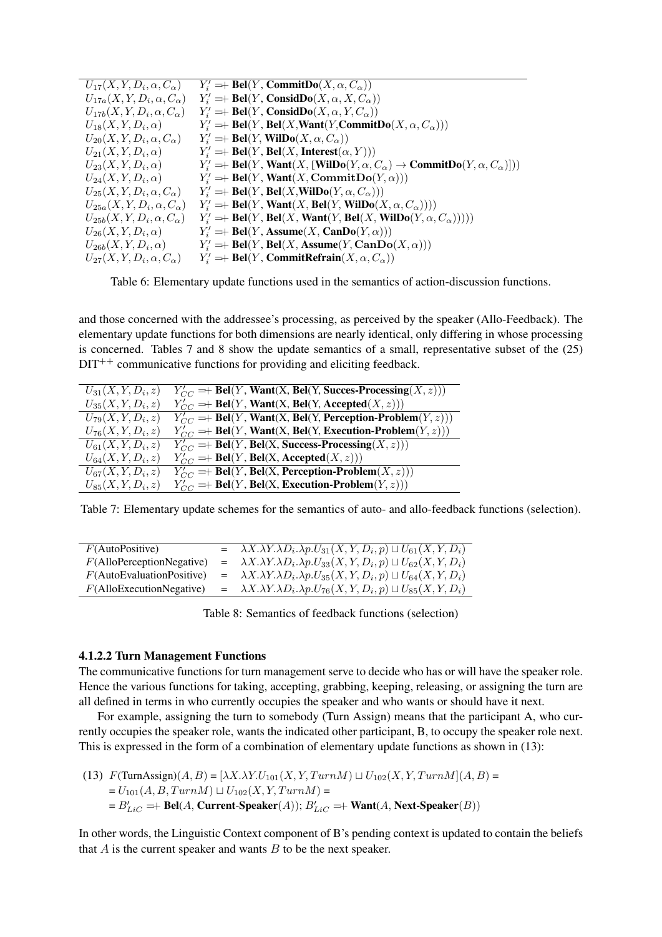| $U_{17}(X, Y, D_i, \alpha, C_{\alpha})$  | $Y_i' \to \text{Bel}(Y, \text{CommitDo}(X, \alpha, C_{\alpha}))$                                                       |
|------------------------------------------|------------------------------------------------------------------------------------------------------------------------|
| $U_{17a}(X,Y,D_i,\alpha,C_{\alpha})$     | $Y_i' \to \text{Bel}(Y, \text{Consider} (X, \alpha, X, C_\alpha))$                                                     |
| $U_{17b}(X, Y, D_i, \alpha, C_{\alpha})$ | $Y_i' \to \text{Bel}(Y, \text{Consider} (X, \alpha, Y, C_\alpha))$                                                     |
| $U_{18}(X, Y, D_i, \alpha)$              | $Y_i' \to \text{Bel}(Y, \text{Bel}(X, \text{Want}(Y, \text{CommitDo}(X, \alpha, C_{\alpha})))$                         |
| $U_{20}(X, Y, D_i, \alpha, C_{\alpha})$  | $Y'_i$ = Bel(Y, WilDo(X, $\alpha$ , $C_{\alpha}$ ))                                                                    |
| $U_{21}(X,Y,D_i,\alpha)$                 | $Y_i' \to \text{Bel}(Y, \text{Bel}(X, \text{Interest}(\alpha, Y)))$                                                    |
| $U_{23}(X,Y,D_i,\alpha)$                 | $Y'_i \to \text{Bel}(Y, \text{Want}(X, [\text{WilDo}(Y, \alpha, C_\alpha) \to \text{CommitDo}(Y, \alpha, C_\alpha)]))$ |
| $U_{24}(X,Y,D_i,\alpha)$                 | $Y_i' = \text{Bel}(Y, \text{Want}(X, \text{CommitDo}(Y, \alpha)))$                                                     |
| $U_{25}(X, Y, D_i, \alpha, C_{\alpha})$  | $Y'_i \to \text{Bel}(Y, \text{Bel}(X, \text{WilDo}(Y, \alpha, C_\alpha)))$                                             |
| $U_{25a}(X, Y, D_i, \alpha, C_{\alpha})$ | $Y_i' \to \text{Bel}(Y, \text{Want}(X, \text{Bel}(Y, \text{WilDo}(X, \alpha, C_\alpha))))$                             |
| $U_{25b}(X, Y, D_i, \alpha, C_{\alpha})$ | $Y_i' \to \text{Bel}(Y, \text{Bel}(X, \text{Want}(Y, \text{Bel}(X, \text{WilDo}(Y, \alpha, C_\alpha))))))$             |
| $U_{26}(X,Y,D_i,\alpha)$                 | $Y_i' \rightleftharpoons \text{Bel}(Y, \text{Assume}(X, \text{CanDo}(Y, \alpha)))$                                     |
| $U_{26b}(X,Y,D_i,\alpha)$                | $Y_i' \to \text{Bel}(Y, \text{Bel}(X, \text{Assume}(Y, \text{CanDo}(X, \alpha)))$                                      |
| $U_{27}(X, Y, D_i, \alpha, C_{\alpha})$  | $Y'_i$ = Bel(Y, Commit Refrain(X, $\alpha$ , $C_{\alpha}$ ))                                                           |

Table 6: Elementary update functions used in the semantics of action-discussion functions.

and those concerned with the addressee's processing, as perceived by the speaker (Allo-Feedback). The elementary update functions for both dimensions are nearly identical, only differing in whose processing is concerned. Tables 7 and 8 show the update semantics of a small, representative subset of the (25)  $DT^{++}$  communicative functions for providing and eliciting feedback.

| $U_{31}(X, Y, D_i, z)$ | $Y'_{CC} \to \text{Bel}(Y, \text{Want}(X, \text{Bel}(Y, \text{Success-Processing}(X, z)))$ |
|------------------------|--------------------------------------------------------------------------------------------|
| $U_{35}(X, Y, D_i, z)$ | $Y'_{CC}$ =+ Bel(Y, Want(X, Bel(Y, Accepted(X, z)))                                        |
| $U_{79}(X, Y, D_i, z)$ | $Y'_{CC} \to \text{Bel}(Y, \text{Want}(X, \text{Bel}(Y, \text{Perception-Problem}(Y, z)))$ |
| $U_{76}(X, Y, D_i, z)$ | $Y'_{CC} \to \text{Bel}(Y, \text{Want}(X, \text{Bel}(Y, \text{Execution-Problem}(Y, z)))$  |
| $U_{61}(X, Y, D_i, z)$ | $\overline{Y'_{CC}} =$ Bel(Y, Bel(X, Success-Processing(X, z)))                            |
| $U_{64}(X, Y, D_i, z)$ | $Y'_{CC}$ =+ Bel(Y, Bel(X, Accepted(X, z)))                                                |
| $U_{67}(X, Y, D_i, z)$ | $Y'_{CC} \rightleftharpoons$ Bel(Y, Bel(X, Perception-Problem(X, z)))                      |
| $U_{85}(X, Y, D_i, z)$ | $Y'_{CC}$ =+ Bel(Y, Bel(X, Execution-Problem(Y, z)))                                       |

Table 7: Elementary update schemes for the semantics of auto- and allo-feedback functions (selection).

| F(AutoPositive)              | $=\lambda X.\lambda Y.\lambda D_i.\lambda p.U_{31}(X,Y,D_i,p)\sqcup U_{61}(X,Y,D_i)$   |
|------------------------------|----------------------------------------------------------------------------------------|
| $F(A$ lloPerceptionNegative) | $= \lambda X.\lambda Y.\lambda D_i.\lambda p.U_{33}(X,Y,D_i,p) \sqcup U_{62}(X,Y,D_i)$ |
| F(AutoEvaluationPositive)    | $=\lambda X.\lambda Y.\lambda D_i.\lambda p.U_{35}(X,Y,D_i,p)\sqcup U_{64}(X,Y,D_i)$   |
| $F(A$ lloExecutionNegative)  | $= \lambda X.\lambda Y.\lambda D_i.\lambda p.U_{76}(X,Y,D_i,p) \sqcup U_{85}(X,Y,D_i)$ |
|                              |                                                                                        |

Table 8: Semantics of feedback functions (selection)

#### 4.1.2.2 Turn Management Functions

The communicative functions for turn management serve to decide who has or will have the speaker role. Hence the various functions for taking, accepting, grabbing, keeping, releasing, or assigning the turn are all defined in terms in who currently occupies the speaker and who wants or should have it next.

For example, assigning the turn to somebody (Turn Assign) means that the participant A, who currently occupies the speaker role, wants the indicated other participant, B, to occupy the speaker role next. This is expressed in the form of a combination of elementary update functions as shown in (13):

(13) 
$$
F(\text{TurnAssign})(A, B) = [\lambda X.\lambda Y.U_{101}(X, Y, TurnM) \sqcup U_{102}(X, Y, TurnM](A, B) =
$$
 $= U_{101}(A, B, TurnM) \sqcup U_{102}(X, Y, TurnM) =$  $= B'_{LiC} \Rightarrow \text{Bel}(A, Current-Speaker}(A)); B'_{LiC} \Rightarrow \text{Want}(A, Next-Speaker}(B))$ 

In other words, the Linguistic Context component of B's pending context is updated to contain the beliefs that  $A$  is the current speaker and wants  $B$  to be the next speaker.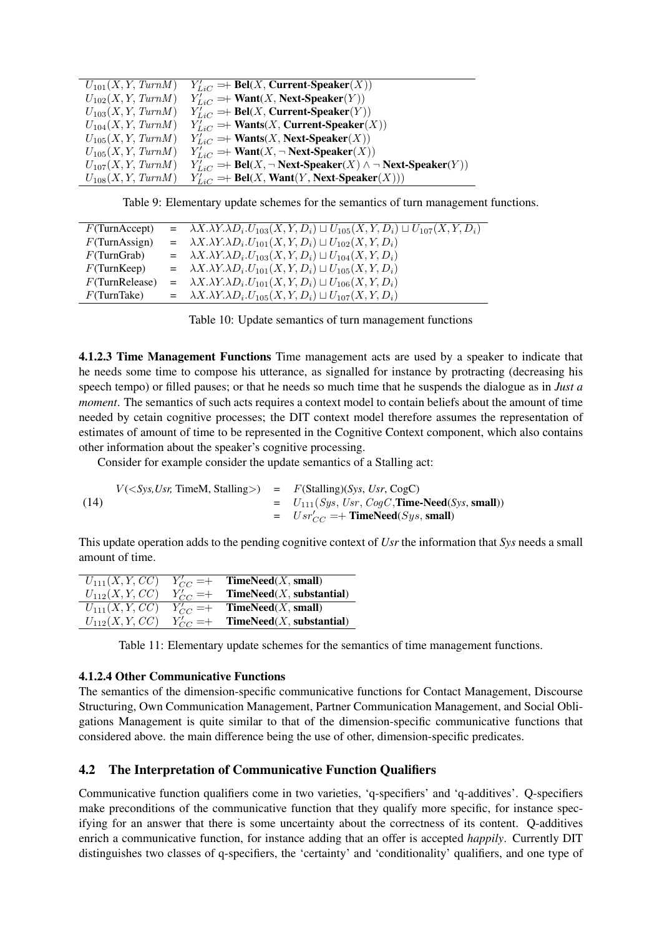| $U_{101}(X, Y, TurnM)$ | $Y'_{LiC} \to \text{Bel}(X, Current-Speaker(X))$                                    |
|------------------------|-------------------------------------------------------------------------------------|
| $U_{102}(X, Y, TurnM)$ | $Y'_{LiC} \to \text{Want}(X, \text{Next-Speaker}(Y))$                               |
| $U_{103}(X, Y, TurnM)$ | $Y'_{L,C} \to \text{Bel}(X, Current-Speaker(Y))$                                    |
| $U_{104}(X, Y, TurnM)$ | $Y'_{LiC} \Rightarrow$ Wants( <i>X</i> , Current-Speaker( <i>X</i> ))               |
| $U_{105}(X, Y, TurnM)$ | $Y'_{LiC} \Rightarrow$ Wants( <i>X</i> , Next-Speaker( <i>X</i> ))                  |
| $U_{105}(X, Y, TurnM)$ | $Y'_{LiC} \Rightarrow$ Want $(X, \neg$ Next-Speaker $(X)$ )                         |
| $U_{107}(X, Y, TurnM)$ | $Y'_{LiC}$ =+ Bel(X, $\neg$ Next-Speaker(X) $\wedge \neg$ Next-Speaker(Y))          |
| $U_{108}(X, Y, TurnM)$ | $Y'_{Lie} \rightleftharpoons \text{Bel}(X, \text{Want}(Y, \text{Next-Speaker}(X)))$ |

Table 9: Elementary update schemes for the semantics of turn management functions.

| $F$ (TurnAccept)  | $= \lambda X. \lambda Y. \lambda D_i. U_{103}(X, Y, D_i) \sqcup U_{105}(X, Y, D_i) \sqcup U_{107}(X, Y, D_i)$ |
|-------------------|---------------------------------------------------------------------------------------------------------------|
| $F$ (TurnAssign)  | $= \lambda X.\lambda Y.\lambda D_i.U_{101}(X,Y,D_i)\sqcup U_{102}(X,Y,D_i)$                                   |
| F(TurnGraph)      | $= \lambda X.\lambda Y.\lambda D_i.U_{103}(X,Y,D_i)\sqcup U_{104}(X,Y,D_i)$                                   |
| $F$ (TurnKeep)    | $= \lambda X.\lambda Y.\lambda D_i.U_{101}(X,Y,D_i)\sqcup U_{105}(X,Y,D_i)$                                   |
| $F$ (TurnRelease) | $= \lambda X.\lambda Y.\lambda D_i.U_{101}(X,Y,D_i) \sqcup U_{106}(X,Y,D_i)$                                  |
| $F$ (TurnTake)    | $= \lambda X.\lambda Y.\lambda D_i.U_{105}(X,Y,D_i)\sqcup U_{107}(X,Y,D_i)$                                   |

|  | Table 10: Update semantics of turn management functions |  |
|--|---------------------------------------------------------|--|
|  |                                                         |  |

4.1.2.3 Time Management Functions Time management acts are used by a speaker to indicate that he needs some time to compose his utterance, as signalled for instance by protracting (decreasing his speech tempo) or filled pauses; or that he needs so much time that he suspends the dialogue as in *Just a moment*. The semantics of such acts requires a context model to contain beliefs about the amount of time needed by cetain cognitive processes; the DIT context model therefore assumes the representation of estimates of amount of time to be represented in the Cognitive Context component, which also contains other information about the speaker's cognitive processing.

Consider for example consider the update semantics of a Stalling act:

(14)  $V(*Sys, Usr*, TimeM, Stalling>) = F(Stalling)(*Sys, Usr*, *CogC*)$  $=$   $U_{111}(Sys, User, CogC, Time-Need(Sys, small))$  $=$   $Usr'_{CC}$  = + **TimeNeed**(*Sys*, **small**)

This update operation adds to the pending cognitive context of *Usr* the information that *Sys* needs a small amount of time.

| $U_{111}(X, Y, CC)$ | $Y'_{CC} = +$ | <b>TimeNeed</b> $(X, \text{small})$ |
|---------------------|---------------|-------------------------------------|
| $U_{112}(X, Y, CC)$ | $Y'_{CC} = +$ | TimeNeed(X, substantial)            |
| $U_{111}(X, Y, CC)$ | $Y'_{CC} = +$ | <b>TimeNeed</b> $(X, \text{small})$ |
| $U_{112}(X, Y, CC)$ | $Y'_{CC} = +$ | TimeNeed(X, substantial)            |

Table 11: Elementary update schemes for the semantics of time management functions.

#### 4.1.2.4 Other Communicative Functions

The semantics of the dimension-specific communicative functions for Contact Management, Discourse Structuring, Own Communication Management, Partner Communication Management, and Social Obligations Management is quite similar to that of the dimension-specific communicative functions that considered above. the main difference being the use of other, dimension-specific predicates.

#### 4.2 The Interpretation of Communicative Function Qualifiers

Communicative function qualifiers come in two varieties, 'q-specifiers' and 'q-additives'. Q-specifiers make preconditions of the communicative function that they qualify more specific, for instance specifying for an answer that there is some uncertainty about the correctness of its content. Q-additives enrich a communicative function, for instance adding that an offer is accepted *happily*. Currently DIT distinguishes two classes of q-specifiers, the 'certainty' and 'conditionality' qualifiers, and one type of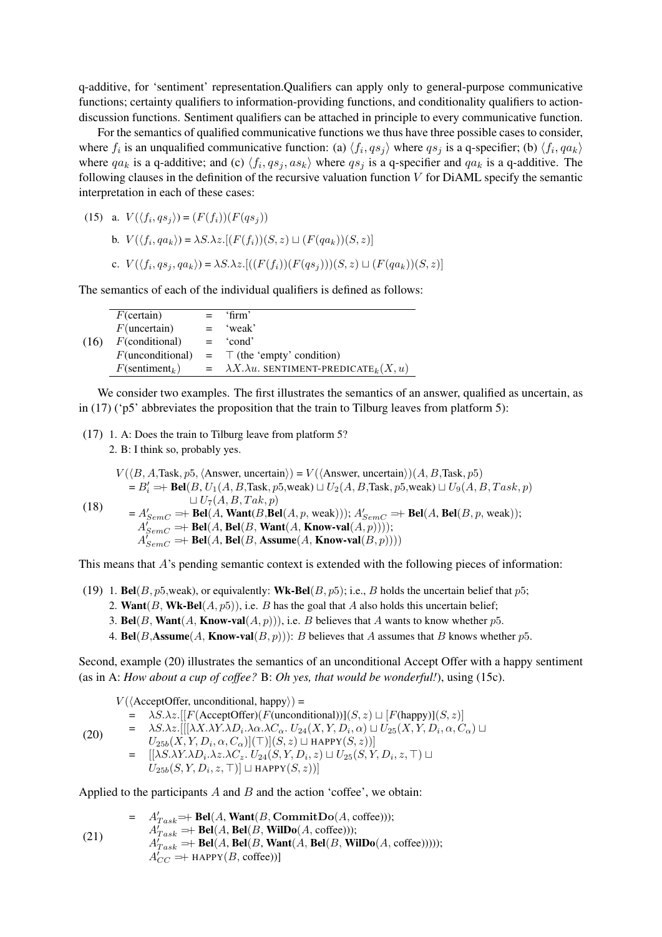q-additive, for 'sentiment' representation.Qualifiers can apply only to general-purpose communicative functions; certainty qualifiers to information-providing functions, and conditionality qualifiers to actiondiscussion functions. Sentiment qualifiers can be attached in principle to every communicative function.

For the semantics of qualified communicative functions we thus have three possible cases to consider, where  $f_i$  is an unqualified communicative function: (a)  $\langle f_i, qs_j \rangle$  where  $qs_j$  is a q-specifier; (b)  $\langle f_i, qa_k \rangle$ where  $qa_k$  is a q-additive; and (c)  $\langle f_i, qs_j, as_k \rangle$  where  $qs_j$  is a q-specifier and  $qa_k$  is a q-additive. The following clauses in the definition of the recursive valuation function  $V$  for DiAML specify the semantic interpretation in each of these cases:

(15) a.  $V(\langle f_i, qs_j \rangle) = (F(f_i))(F(qs_j))$ b.  $V(\langle f_i, qa_k \rangle) = \lambda S \cdot \lambda z \cdot [(F(f_i))(S, z) \sqcup (F(qa_k))(S, z)]$ c.  $V(\langle f_i, qs_j, qa_k \rangle) = \lambda S. \lambda z. [((F(f_i)) (F(qs_j)))(S, z) \sqcup (F(qa_k)) (S, z)]$ 

The semantics of each of the individual qualifiers is defined as follows:

|      | $F$ (certain)                 |     | $=$ 'firm'                                                        |
|------|-------------------------------|-----|-------------------------------------------------------------------|
|      | $F$ (uncertain)               | $=$ | 'weak'                                                            |
| (16) | $F$ (conditional)             |     | $=$ 'cond'                                                        |
|      | $F$ (unconditional)           |     | $=$ $\top$ (the 'empty' condition)                                |
|      | $F$ (sentiment <sub>k</sub> ) |     | $=\lambda X.\lambda u.$ SENTIMENT-PREDICATE <sub>k</sub> $(X, u)$ |
|      |                               |     |                                                                   |

We consider two examples. The first illustrates the semantics of an answer, qualified as uncertain, as in (17) ( $p5'$  abbreviates the proposition that the train to Tilburg leaves from platform 5):

(17) 1. A: Does the train to Tilburg leave from platform 5?

2. B: I think so, probably yes.

$$
V(\langle B, A, \text{Task}, p5, \langle \text{Answer, uncertain} \rangle) = V(\langle \text{Answer, uncertain} \rangle) (A, B, \text{Task}, p5)
$$
  
\n
$$
= B'_i \Rightarrow \text{Bel}(B, U_1(A, B, \text{Task}, p5, \text{weak}) \sqcup U_2(A, B, \text{Task}, p5, \text{weak}) \sqcup U_9(A, B, \text{Task}, p)
$$
  
\n
$$
\sqcup U_7(A, B, \text{Task}, p)
$$
  
\n
$$
= A'_{SemC} \Rightarrow \text{Bel}(A, \text{Want}(B, \text{Bel}(A, p, \text{weak}))), A'_{SemC} \Rightarrow \text{Bel}(A, \text{Bel}(B, p, \text{weak}));
$$
  
\n
$$
A'_{SemC} \Rightarrow \text{Bel}(A, \text{Bel}(B, \text{Want}(A, \text{Know-val}(A, p)))));
$$
  
\n
$$
A'_{SemC} \Rightarrow \text{Bel}(A, \text{Bel}(B, \text{Assume}(A, \text{Know-val}(B, p))))
$$

This means that  $A$ 's pending semantic context is extended with the following pieces of information:

- (19) 1. Bel(B,  $p5$ , weak), or equivalently: Wk-Bel(B,  $p5$ ); i.e., B holds the uncertain belief that  $p5$ ;
	- 2. Want $(B, \text{Wk-Bel}(A, p5))$ , i.e. B has the goal that A also holds this uncertain belief;
	- 3. Bel(B, Want(A, Know-val(A, p))), i.e. B believes that A wants to know whether p5.
	- 4. Bel(B,Assume(A, Know-val(B, p))): B believes that A assumes that B knows whether p5.

Second, example (20) illustrates the semantics of an unconditional Accept Offer with a happy sentiment (as in A: *How about a cup of coffee?* B: *Oh yes, that would be wonderful!*), using (15c).

$$
V(\langle \text{AcceptOffer, unconditional, happy} \rangle) =
$$
\n
$$
= \lambda S.\lambda z. [[F(\text{AcceptOffer})(F(\text{unconditional}))](S, z) \sqcup [F(\text{happy})](S, z)]
$$
\n
$$
= \lambda S.\lambda z. [[[\lambda X.\lambda Y.\lambda D_i.\lambda \alpha.\lambda C_\alpha. U_{24}(X, Y, D_i, \alpha) \sqcup U_{25}(X, Y, D_i, \alpha, C_\alpha) \sqcup
$$
\n
$$
U_{25b}(X, Y, D_i, \alpha, C_\alpha)](\top)[S, z] \sqcup \text{HAPPY}(S, z)]
$$
\n
$$
= [[\lambda S.\lambda Y.\lambda D_i.\lambda z.\lambda C_z. U_{24}(S, Y, D_i, z) \sqcup U_{25}(S, Y, D_i, z, \top) \sqcup
$$
\n
$$
U_{25b}(S, Y, D_i, z, \top)] \sqcup \text{HAPPY}(S, z))]
$$

Applied to the participants  $A$  and  $B$  and the action 'coffee', we obtain:

$$
= A'_{Task} \rightleftharpoons \text{Bel}(A, \text{Want}(B, \text{CommitDo}(A, \text{ coffee})))
$$
\n
$$
A'_{Task} \rightleftharpoons \text{Bel}(A, \text{Bel}(B, \text{WillDo}(A, \text{ coffee})))
$$
\n
$$
A'_{Task} \rightleftharpoons \text{Bel}(A, \text{Bel}(B, \text{Want}(A, \text{Bel}(B, \text{WillDo}(A, \text{ coffee})))))
$$
\n
$$
A'_{CC} \rightleftharpoons \text{HAPPY}(B, \text{ coffee}))
$$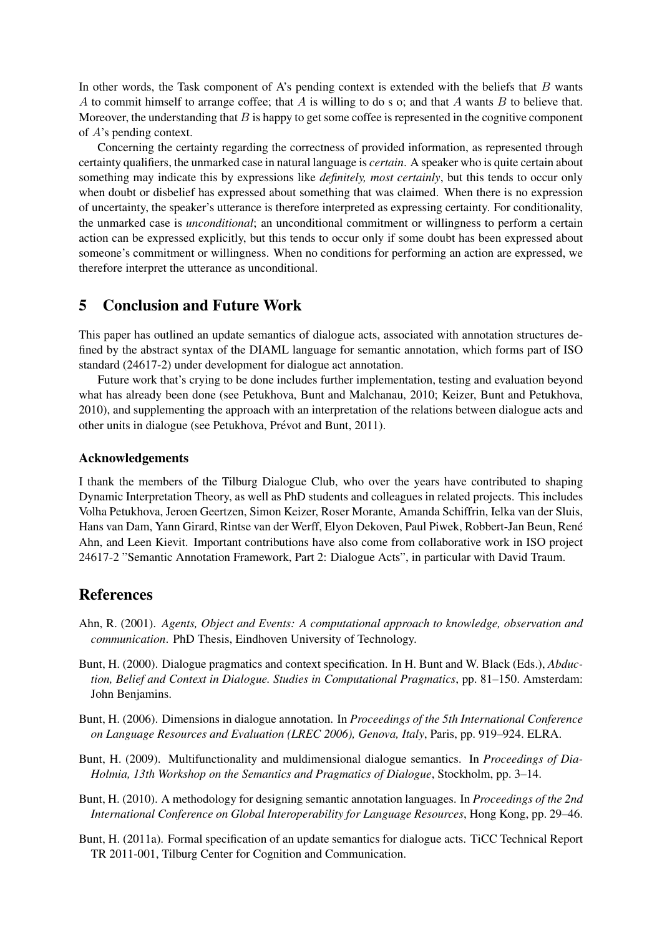In other words, the Task component of A's pending context is extended with the beliefs that  $B$  wants A to commit himself to arrange coffee; that A is willing to do s o; and that A wants B to believe that. Moreover, the understanding that  $B$  is happy to get some coffee is represented in the cognitive component of A's pending context.

Concerning the certainty regarding the correctness of provided information, as represented through certainty qualifiers, the unmarked case in natural language is *certain*. A speaker who is quite certain about something may indicate this by expressions like *definitely, most certainly*, but this tends to occur only when doubt or disbelief has expressed about something that was claimed. When there is no expression of uncertainty, the speaker's utterance is therefore interpreted as expressing certainty. For conditionality, the unmarked case is *unconditional*; an unconditional commitment or willingness to perform a certain action can be expressed explicitly, but this tends to occur only if some doubt has been expressed about someone's commitment or willingness. When no conditions for performing an action are expressed, we therefore interpret the utterance as unconditional.

## 5 Conclusion and Future Work

This paper has outlined an update semantics of dialogue acts, associated with annotation structures defined by the abstract syntax of the DIAML language for semantic annotation, which forms part of ISO standard (24617-2) under development for dialogue act annotation.

Future work that's crying to be done includes further implementation, testing and evaluation beyond what has already been done (see Petukhova, Bunt and Malchanau, 2010; Keizer, Bunt and Petukhova, 2010), and supplementing the approach with an interpretation of the relations between dialogue acts and other units in dialogue (see Petukhova, Prévot and Bunt, 2011).

#### Acknowledgements

I thank the members of the Tilburg Dialogue Club, who over the years have contributed to shaping Dynamic Interpretation Theory, as well as PhD students and colleagues in related projects. This includes Volha Petukhova, Jeroen Geertzen, Simon Keizer, Roser Morante, Amanda Schiffrin, Ielka van der Sluis, Hans van Dam, Yann Girard, Rintse van der Werff, Elyon Dekoven, Paul Piwek, Robbert-Jan Beun, Rene´ Ahn, and Leen Kievit. Important contributions have also come from collaborative work in ISO project 24617-2 "Semantic Annotation Framework, Part 2: Dialogue Acts", in particular with David Traum.

### **References**

- Ahn, R. (2001). *Agents, Object and Events: A computational approach to knowledge, observation and communication*. PhD Thesis, Eindhoven University of Technology.
- Bunt, H. (2000). Dialogue pragmatics and context specification. In H. Bunt and W. Black (Eds.), *Abduction, Belief and Context in Dialogue. Studies in Computational Pragmatics*, pp. 81–150. Amsterdam: John Benjamins.
- Bunt, H. (2006). Dimensions in dialogue annotation. In *Proceedings of the 5th International Conference on Language Resources and Evaluation (LREC 2006), Genova, Italy*, Paris, pp. 919–924. ELRA.
- Bunt, H. (2009). Multifunctionality and muldimensional dialogue semantics. In *Proceedings of Dia-Holmia, 13th Workshop on the Semantics and Pragmatics of Dialogue*, Stockholm, pp. 3–14.
- Bunt, H. (2010). A methodology for designing semantic annotation languages. In *Proceedings of the 2nd International Conference on Global Interoperability for Language Resources*, Hong Kong, pp. 29–46.
- Bunt, H. (2011a). Formal specification of an update semantics for dialogue acts. TiCC Technical Report TR 2011-001, Tilburg Center for Cognition and Communication.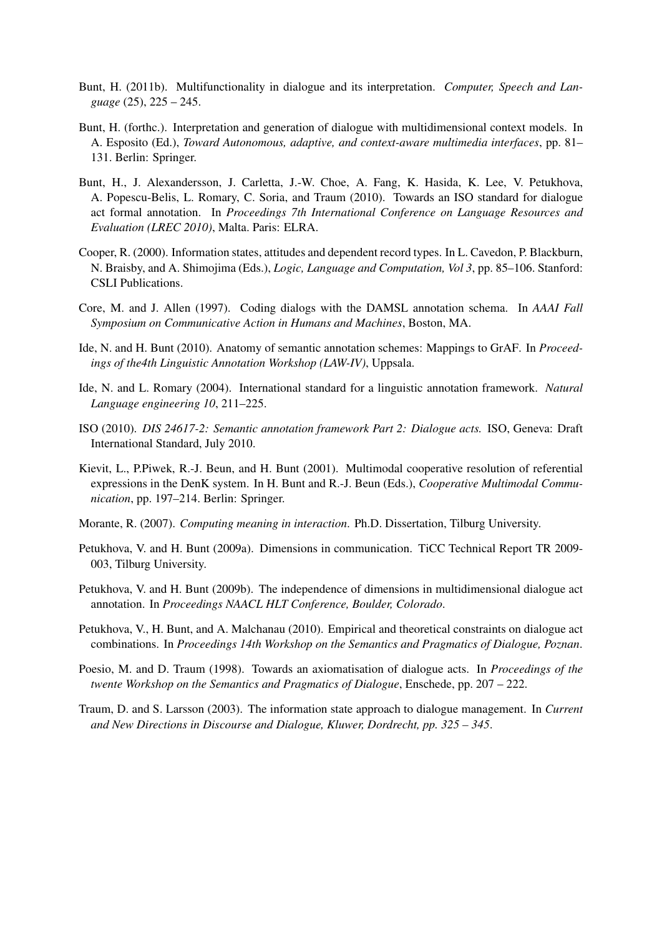- Bunt, H. (2011b). Multifunctionality in dialogue and its interpretation. *Computer, Speech and Language* (25), 225 – 245.
- Bunt, H. (forthc.). Interpretation and generation of dialogue with multidimensional context models. In A. Esposito (Ed.), *Toward Autonomous, adaptive, and context-aware multimedia interfaces*, pp. 81– 131. Berlin: Springer.
- Bunt, H., J. Alexandersson, J. Carletta, J.-W. Choe, A. Fang, K. Hasida, K. Lee, V. Petukhova, A. Popescu-Belis, L. Romary, C. Soria, and Traum (2010). Towards an ISO standard for dialogue act formal annotation. In *Proceedings 7th International Conference on Language Resources and Evaluation (LREC 2010)*, Malta. Paris: ELRA.
- Cooper, R. (2000). Information states, attitudes and dependent record types. In L. Cavedon, P. Blackburn, N. Braisby, and A. Shimojima (Eds.), *Logic, Language and Computation, Vol 3*, pp. 85–106. Stanford: CSLI Publications.
- Core, M. and J. Allen (1997). Coding dialogs with the DAMSL annotation schema. In *AAAI Fall Symposium on Communicative Action in Humans and Machines*, Boston, MA.
- Ide, N. and H. Bunt (2010). Anatomy of semantic annotation schemes: Mappings to GrAF. In *Proceedings of the4th Linguistic Annotation Workshop (LAW-IV)*, Uppsala.
- Ide, N. and L. Romary (2004). International standard for a linguistic annotation framework. *Natural Language engineering 10*, 211–225.
- ISO (2010). *DIS 24617-2: Semantic annotation framework Part 2: Dialogue acts.* ISO, Geneva: Draft International Standard, July 2010.
- Kievit, L., P.Piwek, R.-J. Beun, and H. Bunt (2001). Multimodal cooperative resolution of referential expressions in the DenK system. In H. Bunt and R.-J. Beun (Eds.), *Cooperative Multimodal Communication*, pp. 197–214. Berlin: Springer.
- Morante, R. (2007). *Computing meaning in interaction*. Ph.D. Dissertation, Tilburg University.
- Petukhova, V. and H. Bunt (2009a). Dimensions in communication. TiCC Technical Report TR 2009- 003, Tilburg University.
- Petukhova, V. and H. Bunt (2009b). The independence of dimensions in multidimensional dialogue act annotation. In *Proceedings NAACL HLT Conference, Boulder, Colorado*.
- Petukhova, V., H. Bunt, and A. Malchanau (2010). Empirical and theoretical constraints on dialogue act combinations. In *Proceedings 14th Workshop on the Semantics and Pragmatics of Dialogue, Poznan*.
- Poesio, M. and D. Traum (1998). Towards an axiomatisation of dialogue acts. In *Proceedings of the twente Workshop on the Semantics and Pragmatics of Dialogue*, Enschede, pp. 207 – 222.
- Traum, D. and S. Larsson (2003). The information state approach to dialogue management. In *Current and New Directions in Discourse and Dialogue, Kluwer, Dordrecht, pp. 325 – 345*.